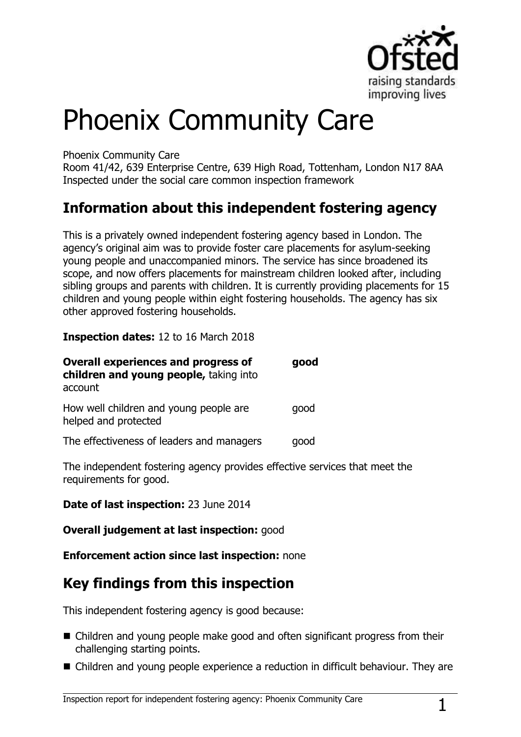

# Phoenix Community Care

Phoenix Community Care

Room 41/42, 639 Enterprise Centre, 639 High Road, Tottenham, London N17 8AA Inspected under the social care common inspection framework

## **Information about this independent fostering agency**

This is a privately owned independent fostering agency based in London. The agency's original aim was to provide foster care placements for asylum-seeking young people and unaccompanied minors. The service has since broadened its scope, and now offers placements for mainstream children looked after, including sibling groups and parents with children. It is currently providing placements for 15 children and young people within eight fostering households. The agency has six other approved fostering households.

**Inspection dates:** 12 to 16 March 2018

| <b>Overall experiences and progress of</b><br>children and young people, taking into<br>account | good |
|-------------------------------------------------------------------------------------------------|------|
| How well children and young people are<br>helped and protected                                  | qood |
| The effectiveness of leaders and managers                                                       | qood |

The independent fostering agency provides effective services that meet the requirements for good.

**Date of last inspection:** 23 June 2014

**Overall judgement at last inspection:** good

**Enforcement action since last inspection:** none

# **Key findings from this inspection**

This independent fostering agency is good because:

- Children and young people make good and often significant progress from their challenging starting points.
- Children and young people experience a reduction in difficult behaviour. They are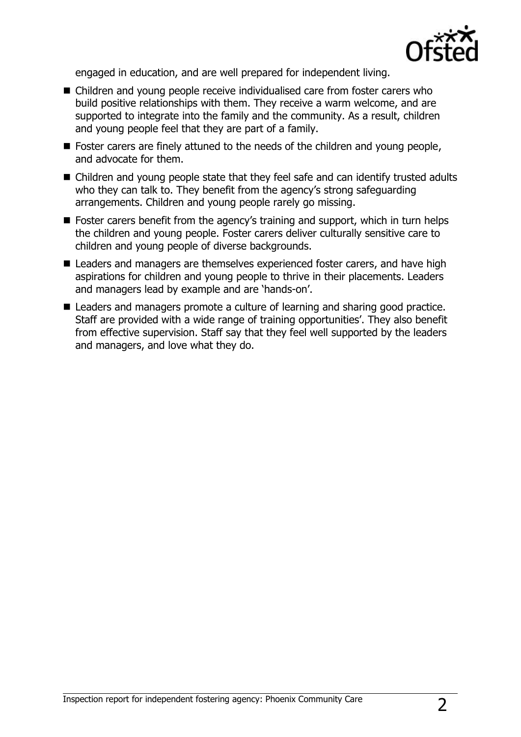

engaged in education, and are well prepared for independent living.

- Children and young people receive individualised care from foster carers who build positive relationships with them. They receive a warm welcome, and are supported to integrate into the family and the community. As a result, children and young people feel that they are part of a family.
- Foster carers are finely attuned to the needs of the children and young people, and advocate for them.
- Children and young people state that they feel safe and can identify trusted adults who they can talk to. They benefit from the agency's strong safeguarding arrangements. Children and young people rarely go missing.
- Foster carers benefit from the agency's training and support, which in turn helps the children and young people. Foster carers deliver culturally sensitive care to children and young people of diverse backgrounds.
- Leaders and managers are themselves experienced foster carers, and have high aspirations for children and young people to thrive in their placements. Leaders and managers lead by example and are 'hands-on'.
- Leaders and managers promote a culture of learning and sharing good practice. Staff are provided with a wide range of training opportunities'. They also benefit from effective supervision. Staff say that they feel well supported by the leaders and managers, and love what they do.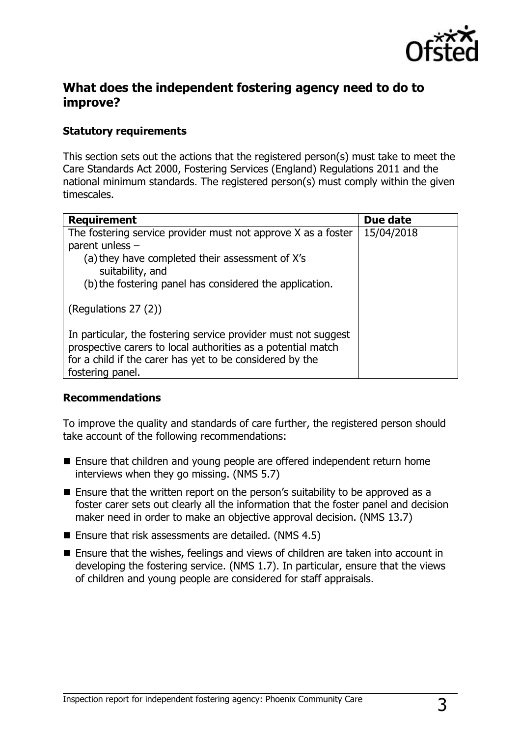

#### **What does the independent fostering agency need to do to improve?**

#### **Statutory requirements**

This section sets out the actions that the registered person(s) must take to meet the Care Standards Act 2000, Fostering Services (England) Regulations 2011 and the national minimum standards. The registered person(s) must comply within the given timescales.

| <b>Requirement</b>                                             | Due date   |
|----------------------------------------------------------------|------------|
| The fostering service provider must not approve X as a foster  | 15/04/2018 |
| parent unless $-$                                              |            |
| (a) they have completed their assessment of X's                |            |
| suitability, and                                               |            |
| (b) the fostering panel has considered the application.        |            |
| (Regulations $27(2)$ )                                         |            |
| In particular, the fostering service provider must not suggest |            |
| prospective carers to local authorities as a potential match   |            |
| for a child if the carer has yet to be considered by the       |            |
| fostering panel.                                               |            |

#### **Recommendations**

To improve the quality and standards of care further, the registered person should take account of the following recommendations:

- Ensure that children and young people are offered independent return home interviews when they go missing. (NMS 5.7)
- Ensure that the written report on the person's suitability to be approved as a foster carer sets out clearly all the information that the foster panel and decision maker need in order to make an objective approval decision. (NMS 13.7)
- $\blacksquare$  Ensure that risk assessments are detailed. (NMS 4.5)
- Ensure that the wishes, feelings and views of children are taken into account in developing the fostering service. (NMS 1.7). In particular, ensure that the views of children and young people are considered for staff appraisals.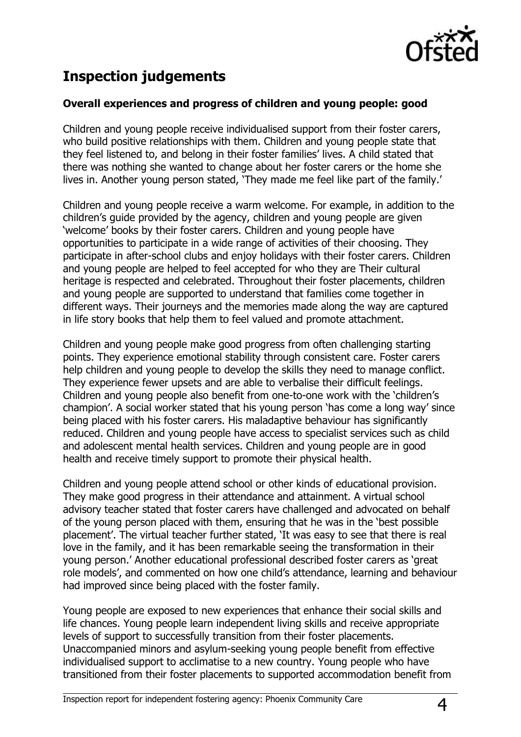

# **Inspection judgements**

#### **Overall experiences and progress of children and young people: good**

Children and young people receive individualised support from their foster carers, who build positive relationships with them. Children and young people state that they feel listened to, and belong in their foster families' lives. A child stated that there was nothing she wanted to change about her foster carers or the home she lives in. Another young person stated, 'They made me feel like part of the family.'

Children and young people receive a warm welcome. For example, in addition to the children's guide provided by the agency, children and young people are given 'welcome' books by their foster carers. Children and young people have opportunities to participate in a wide range of activities of their choosing. They participate in after-school clubs and enjoy holidays with their foster carers. Children and young people are helped to feel accepted for who they are Their cultural heritage is respected and celebrated. Throughout their foster placements, children and young people are supported to understand that families come together in different ways. Their journeys and the memories made along the way are captured in life story books that help them to feel valued and promote attachment.

Children and young people make good progress from often challenging starting points. They experience emotional stability through consistent care. Foster carers help children and young people to develop the skills they need to manage conflict. They experience fewer upsets and are able to verbalise their difficult feelings. Children and young people also benefit from one-to-one work with the 'children's champion'. A social worker stated that his young person 'has come a long way' since being placed with his foster carers. His maladaptive behaviour has significantly reduced. Children and young people have access to specialist services such as child and adolescent mental health services. Children and young people are in good health and receive timely support to promote their physical health.

Children and young people attend school or other kinds of educational provision. They make good progress in their attendance and attainment. A virtual school advisory teacher stated that foster carers have challenged and advocated on behalf of the young person placed with them, ensuring that he was in the 'best possible placement'. The virtual teacher further stated, 'It was easy to see that there is real love in the family, and it has been remarkable seeing the transformation in their young person.' Another educational professional described foster carers as 'great role models', and commented on how one child's attendance, learning and behaviour had improved since being placed with the foster family.

Young people are exposed to new experiences that enhance their social skills and life chances. Young people learn independent living skills and receive appropriate levels of support to successfully transition from their foster placements. Unaccompanied minors and asylum-seeking young people benefit from effective individualised support to acclimatise to a new country. Young people who have transitioned from their foster placements to supported accommodation benefit from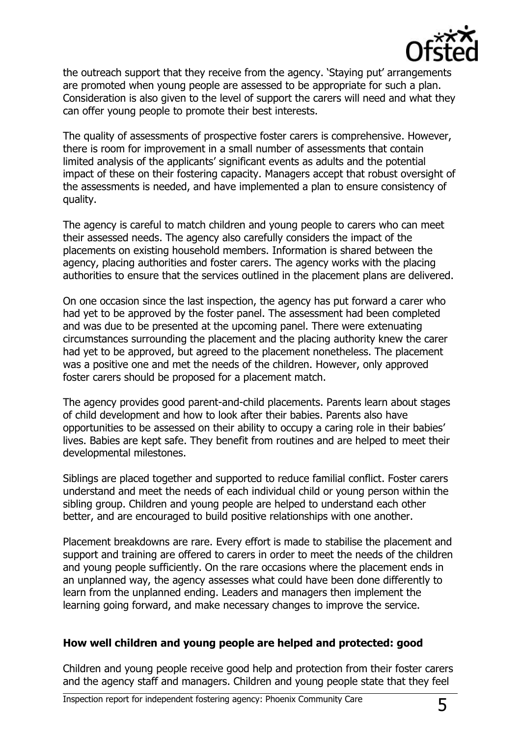

the outreach support that they receive from the agency. 'Staying put' arrangements are promoted when young people are assessed to be appropriate for such a plan. Consideration is also given to the level of support the carers will need and what they can offer young people to promote their best interests.

The quality of assessments of prospective foster carers is comprehensive. However, there is room for improvement in a small number of assessments that contain limited analysis of the applicants' significant events as adults and the potential impact of these on their fostering capacity. Managers accept that robust oversight of the assessments is needed, and have implemented a plan to ensure consistency of quality.

The agency is careful to match children and young people to carers who can meet their assessed needs. The agency also carefully considers the impact of the placements on existing household members. Information is shared between the agency, placing authorities and foster carers. The agency works with the placing authorities to ensure that the services outlined in the placement plans are delivered.

On one occasion since the last inspection, the agency has put forward a carer who had yet to be approved by the foster panel. The assessment had been completed and was due to be presented at the upcoming panel. There were extenuating circumstances surrounding the placement and the placing authority knew the carer had yet to be approved, but agreed to the placement nonetheless. The placement was a positive one and met the needs of the children. However, only approved foster carers should be proposed for a placement match.

The agency provides good parent-and-child placements. Parents learn about stages of child development and how to look after their babies. Parents also have opportunities to be assessed on their ability to occupy a caring role in their babies' lives. Babies are kept safe. They benefit from routines and are helped to meet their developmental milestones.

Siblings are placed together and supported to reduce familial conflict. Foster carers understand and meet the needs of each individual child or young person within the sibling group. Children and young people are helped to understand each other better, and are encouraged to build positive relationships with one another.

Placement breakdowns are rare. Every effort is made to stabilise the placement and support and training are offered to carers in order to meet the needs of the children and young people sufficiently. On the rare occasions where the placement ends in an unplanned way, the agency assesses what could have been done differently to learn from the unplanned ending. Leaders and managers then implement the learning going forward, and make necessary changes to improve the service.

#### **How well children and young people are helped and protected: good**

Children and young people receive good help and protection from their foster carers and the agency staff and managers. Children and young people state that they feel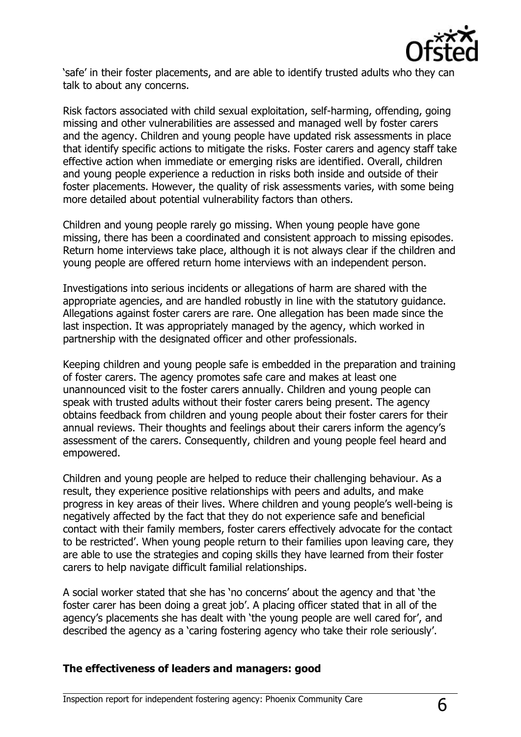

'safe' in their foster placements, and are able to identify trusted adults who they can talk to about any concerns.

Risk factors associated with child sexual exploitation, self-harming, offending, going missing and other vulnerabilities are assessed and managed well by foster carers and the agency. Children and young people have updated risk assessments in place that identify specific actions to mitigate the risks. Foster carers and agency staff take effective action when immediate or emerging risks are identified. Overall, children and young people experience a reduction in risks both inside and outside of their foster placements. However, the quality of risk assessments varies, with some being more detailed about potential vulnerability factors than others.

Children and young people rarely go missing. When young people have gone missing, there has been a coordinated and consistent approach to missing episodes. Return home interviews take place, although it is not always clear if the children and young people are offered return home interviews with an independent person.

Investigations into serious incidents or allegations of harm are shared with the appropriate agencies, and are handled robustly in line with the statutory guidance. Allegations against foster carers are rare. One allegation has been made since the last inspection. It was appropriately managed by the agency, which worked in partnership with the designated officer and other professionals.

Keeping children and young people safe is embedded in the preparation and training of foster carers. The agency promotes safe care and makes at least one unannounced visit to the foster carers annually. Children and young people can speak with trusted adults without their foster carers being present. The agency obtains feedback from children and young people about their foster carers for their annual reviews. Their thoughts and feelings about their carers inform the agency's assessment of the carers. Consequently, children and young people feel heard and empowered.

Children and young people are helped to reduce their challenging behaviour. As a result, they experience positive relationships with peers and adults, and make progress in key areas of their lives. Where children and young people's well-being is negatively affected by the fact that they do not experience safe and beneficial contact with their family members, foster carers effectively advocate for the contact to be restricted'. When young people return to their families upon leaving care, they are able to use the strategies and coping skills they have learned from their foster carers to help navigate difficult familial relationships.

A social worker stated that she has 'no concerns' about the agency and that 'the foster carer has been doing a great job'. A placing officer stated that in all of the agency's placements she has dealt with 'the young people are well cared for', and described the agency as a 'caring fostering agency who take their role seriously'.

#### **The effectiveness of leaders and managers: good**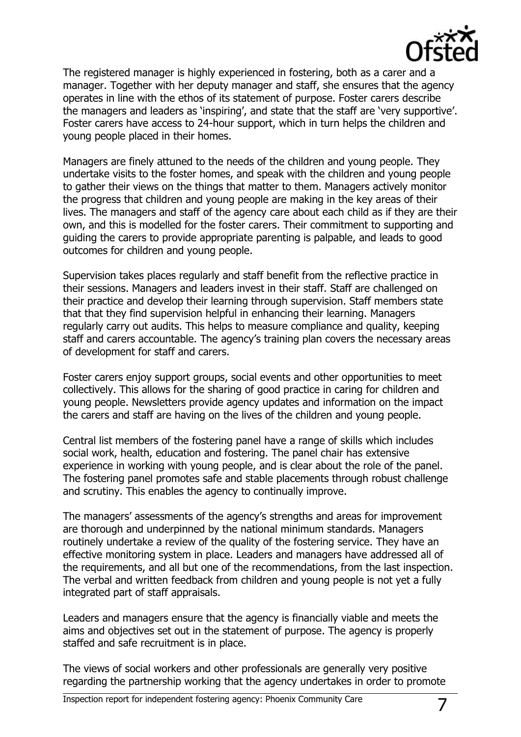

The registered manager is highly experienced in fostering, both as a carer and a manager. Together with her deputy manager and staff, she ensures that the agency operates in line with the ethos of its statement of purpose. Foster carers describe the managers and leaders as 'inspiring', and state that the staff are 'very supportive'. Foster carers have access to 24-hour support, which in turn helps the children and young people placed in their homes.

Managers are finely attuned to the needs of the children and young people. They undertake visits to the foster homes, and speak with the children and young people to gather their views on the things that matter to them. Managers actively monitor the progress that children and young people are making in the key areas of their lives. The managers and staff of the agency care about each child as if they are their own, and this is modelled for the foster carers. Their commitment to supporting and guiding the carers to provide appropriate parenting is palpable, and leads to good outcomes for children and young people.

Supervision takes places regularly and staff benefit from the reflective practice in their sessions. Managers and leaders invest in their staff. Staff are challenged on their practice and develop their learning through supervision. Staff members state that that they find supervision helpful in enhancing their learning. Managers regularly carry out audits. This helps to measure compliance and quality, keeping staff and carers accountable. The agency's training plan covers the necessary areas of development for staff and carers.

Foster carers enjoy support groups, social events and other opportunities to meet collectively. This allows for the sharing of good practice in caring for children and young people. Newsletters provide agency updates and information on the impact the carers and staff are having on the lives of the children and young people.

Central list members of the fostering panel have a range of skills which includes social work, health, education and fostering. The panel chair has extensive experience in working with young people, and is clear about the role of the panel. The fostering panel promotes safe and stable placements through robust challenge and scrutiny. This enables the agency to continually improve.

The managers' assessments of the agency's strengths and areas for improvement are thorough and underpinned by the national minimum standards. Managers routinely undertake a review of the quality of the fostering service. They have an effective monitoring system in place. Leaders and managers have addressed all of the requirements, and all but one of the recommendations, from the last inspection. The verbal and written feedback from children and young people is not yet a fully integrated part of staff appraisals.

Leaders and managers ensure that the agency is financially viable and meets the aims and objectives set out in the statement of purpose. The agency is properly staffed and safe recruitment is in place.

The views of social workers and other professionals are generally very positive regarding the partnership working that the agency undertakes in order to promote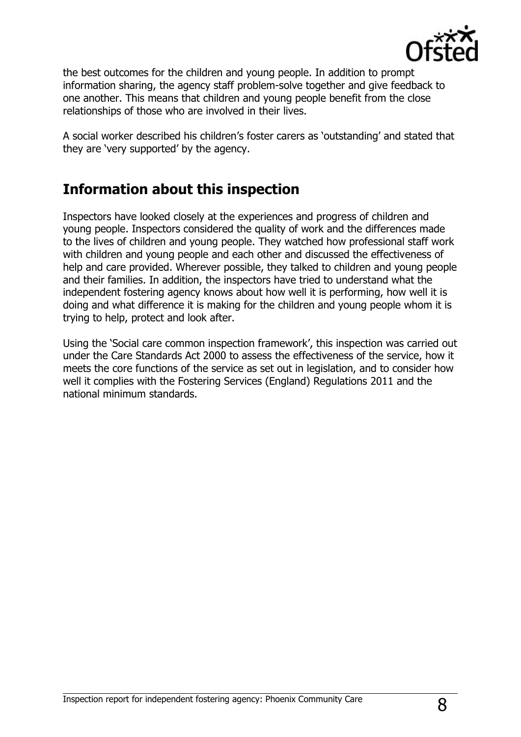

the best outcomes for the children and young people. In addition to prompt information sharing, the agency staff problem-solve together and give feedback to one another. This means that children and young people benefit from the close relationships of those who are involved in their lives.

A social worker described his children's foster carers as 'outstanding' and stated that they are 'very supported' by the agency.

# **Information about this inspection**

Inspectors have looked closely at the experiences and progress of children and young people. Inspectors considered the quality of work and the differences made to the lives of children and young people. They watched how professional staff work with children and young people and each other and discussed the effectiveness of help and care provided. Wherever possible, they talked to children and young people and their families. In addition, the inspectors have tried to understand what the independent fostering agency knows about how well it is performing, how well it is doing and what difference it is making for the children and young people whom it is trying to help, protect and look after.

Using the 'Social care common inspection framework', this inspection was carried out under the Care Standards Act 2000 to assess the effectiveness of the service, how it meets the core functions of the service as set out in legislation, and to consider how well it complies with the Fostering Services (England) Regulations 2011 and the national minimum standards.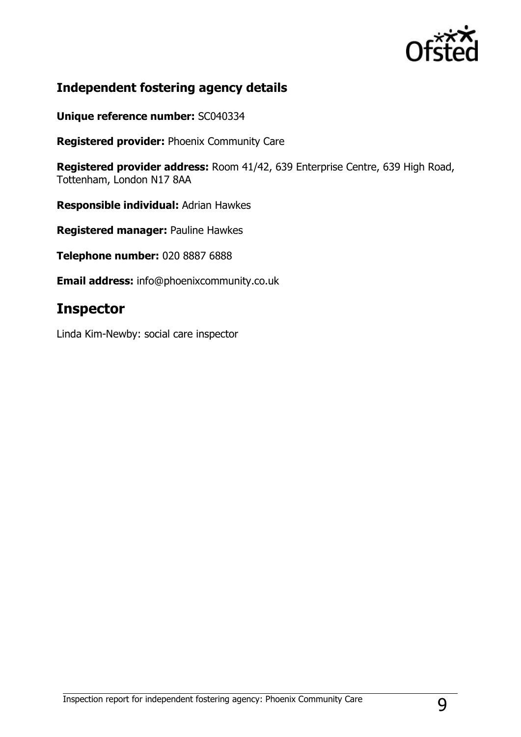

### **Independent fostering agency details**

**Unique reference number:** SC040334

**Registered provider:** Phoenix Community Care

**Registered provider address:** Room 41/42, 639 Enterprise Centre, 639 High Road, Tottenham, London N17 8AA

**Responsible individual:** Adrian Hawkes

**Registered manager:** Pauline Hawkes

**Telephone number:** 020 8887 6888

**Email address:** info@phoenixcommunity.co.uk

## **Inspector**

Linda Kim-Newby: social care inspector